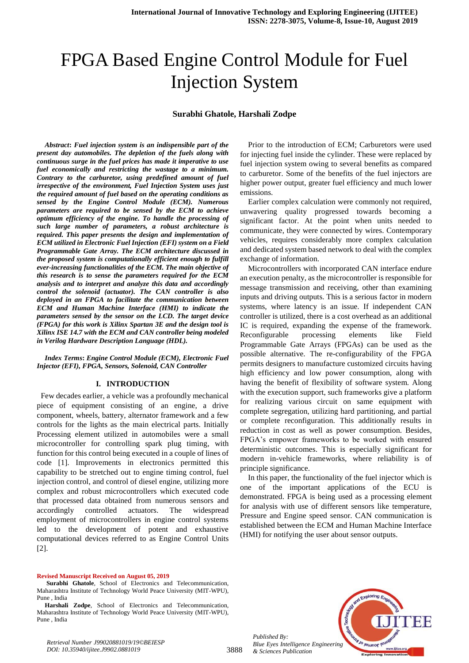# FPGA Based Engine Control Module for Fuel Injection System

#### **Surabhi Ghatole, Harshali Zodpe**

*Abstract***:** *Fuel injection system is an indispensible part of the present day automobiles. The depletion of the fuels along with continuous surge in the fuel prices has made it imperative to use fuel economically and restricting the wastage to a minimum. Contrary to the carburetor, using predefined amount of fuel irrespective of the environment, Fuel Injection System uses just the required amount of fuel based on the operating conditions as sensed by the Engine Control Module (ECM). Numerous parameters are required to be sensed by the ECM to achieve optimum efficiency of the engine. To handle the processing of such large number of parameters, a robust architecture is required. This paper presents the design and implementation of ECM utilized in Electronic Fuel Injection (EFI) system on a Field Programmable Gate Array. The ECM architecture discussed in the proposed system is computationally efficient enough to fulfill ever-increasing functionalities of the ECM. The main objective of this research is to sense the parameters required for the ECM analysis and to interpret and analyze this data and accordingly control the solenoid (actuator). The CAN controller is also deployed in an FPGA to facilitate the communication between ECM and Human Machine Interface (HMI) to indicate the parameters sensed by the sensor on the LCD. The target device (FPGA) for this work is Xilinx Spartan 3E and the design tool is Xilinx ISE 14.7 with the ECM and CAN controller being modeled in Verilog Hardware Description Language (HDL).*

#### *Index Terms***:** *Engine Control Module (ECM), Electronic Fuel Injector (EFI), FPGA, Sensors, Solenoid, CAN Controller*

#### **I. INTRODUCTION**

 Few decades earlier, a vehicle was a profoundly mechanical piece of equipment consisting of an engine, a drive component, wheels, battery, alternator framework and a few controls for the lights as the main electrical parts. Initially Processing element utilized in automobiles were a small microcontroller for controlling spark plug timing, with function for this control being executed in a couple of lines of code [1]. Improvements in electronics permitted this capability to be stretched out to engine timing control, fuel injection control, and control of diesel engine, utilizing more complex and robust microcontrollers which executed code that processed data obtained from numerous sensors and accordingly controlled actuators. The widespread employment of microcontrollers in engine control systems led to the development of potent and exhaustive computational devices referred to as Engine Control Units [2].

#### **Revised Manuscript Received on August 05, 2019**

Prior to the introduction of ECM; Carburetors were used for injecting fuel inside the cylinder. These were replaced by fuel injection system owing to several benefits as compared to carburetor. Some of the benefits of the fuel injectors are higher power output, greater fuel efficiency and much lower emissions.

Earlier complex calculation were commonly not required, unwavering quality progressed towards becoming a significant factor. At the point when units needed to communicate, they were connected by wires. Contemporary vehicles, requires considerably more complex calculation and dedicated system based network to deal with the complex exchange of information.

Microcontrollers with incorporated CAN interface endure an execution penalty, as the microcontroller is responsible for message transmission and receiving, other than examining inputs and driving outputs. This is a serious factor in modern systems, where latency is an issue. If independent CAN controller is utilized, there is a cost overhead as an additional IC is required, expanding the expense of the framework. Reconfigurable processing elements like Field Programmable Gate Arrays (FPGAs) can be used as the possible alternative. The re-configurability of the FPGA permits designers to manufacture customized circuits having high efficiency and low power consumption, along with having the benefit of flexibility of software system. Along with the execution support, such frameworks give a platform for realizing various circuit on same equipment with complete segregation, utilizing hard partitioning, and partial or complete reconfiguration. This additionally results in reduction in cost as well as power consumption. Besides, FPGA's empower frameworks to be worked with ensured deterministic outcomes. This is especially significant for modern in-vehicle frameworks, where reliability is of principle significance.

In this paper, the functionality of the fuel injector which is one of the important applications of the ECU is demonstrated. FPGA is being used as a processing element for analysis with use of different sensors like temperature, Pressure and Engine speed sensor. CAN communication is established between the ECM and Human Machine Interface (HMI) for notifying the user about sensor outputs.



*Published By: Blue Eyes Intelligence Engineering & Sciences Publication* 

3888

**Surabhi Ghatole**, School of Electronics and Telecommunication, Maharashtra Institute of Technology World Peace University (MIT-WPU), Pune , India

**Harshali Zodpe**, School of Electronics and Telecommunication, Maharashtra Institute of Technology World Peace University (MIT-WPU), Pune , India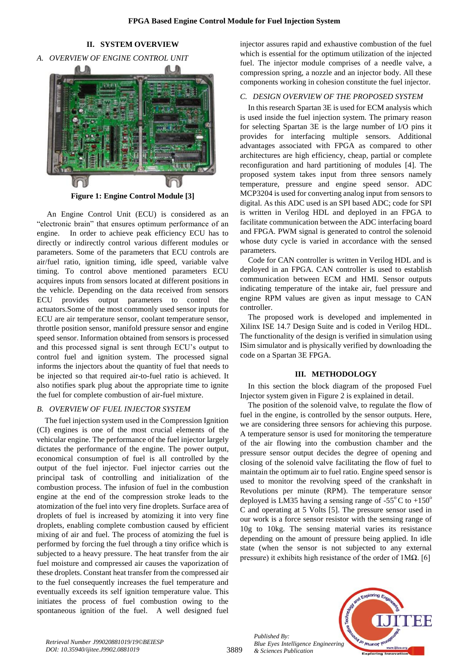# **II. SYSTEM OVERVIEW**

*A. OVERVIEW OF ENGINE CONTROL UNIT*



**Figure 1: Engine Control Module [3]**

An Engine Control Unit (ECU) is considered as an "electronic brain" that ensures optimum performance of an engine. In order to achieve peak efficiency ECU has to directly or indirectly control various different modules or parameters. Some of the parameters that ECU controls are air/fuel ratio, ignition timing, idle speed, variable valve timing. To control above mentioned parameters ECU acquires inputs from sensors located at different positions in the vehicle. Depending on the data received from sensors ECU provides output parameters to control the actuators.Some of the most commonly used sensor inputs for ECU are air temperature sensor, coolant temperature sensor, throttle position sensor, manifold pressure sensor and engine speed sensor. Information obtained from sensors is processed and this processed signal is sent through ECU's output to control fuel and ignition system. The processed signal informs the injectors about the quantity of fuel that needs to be injected so that required air-to-fuel ratio is achieved. It also notifies spark plug about the appropriate time to ignite the fuel for complete combustion of air-fuel mixture.

### *B. OVERVIEW OF FUEL INJECTOR SYSTEM*

The fuel injection system used in the Compression Ignition (CI) engines is one of the most crucial elements of the vehicular engine. The performance of the fuel injector largely dictates the performance of the engine. The power output, economical consumption of fuel is all controlled by the output of the fuel injector. Fuel injector carries out the principal task of controlling and initialization of the combustion process. The infusion of fuel in the combustion engine at the end of the compression stroke leads to the atomization of the fuel into very fine droplets. Surface area of droplets of fuel is increased by atomizing it into very fine droplets, enabling complete combustion caused by efficient mixing of air and fuel. The process of atomizing the fuel is performed by forcing the fuel through a tiny orifice which is subjected to a heavy pressure. The heat transfer from the air fuel moisture and compressed air causes the vaporization of these droplets. Constant heat transfer from the compressed air to the fuel consequently increases the fuel temperature and eventually exceeds its self ignition temperature value. This initiates the process of fuel combustion owing to the spontaneous ignition of the fuel. A well designed fuel injector assures rapid and exhaustive combustion of the fuel which is essential for the optimum utilization of the injected fuel. The injector module comprises of a needle valve, a compression spring, a nozzle and an injector body. All these components working in cohesion constitute the fuel injector.

## *C. DESIGN OVERVIEW OF THE PROPOSED SYSTEM*

In this research Spartan 3E is used for ECM analysis which is used inside the fuel injection system. The primary reason for selecting Spartan 3E is the large number of I/O pins it provides for interfacing multiple sensors. Additional advantages associated with FPGA as compared to other architectures are high efficiency, cheap, partial or complete reconfiguration and hard partitioning of modules [4]. The proposed system takes input from three sensors namely temperature, pressure and engine speed sensor. ADC MCP3204 is used for converting analog input from sensors to digital. As this ADC used is an SPI based ADC; code for SPI is written in Verilog HDL and deployed in an FPGA to facilitate communication between the ADC interfacing board and FPGA. PWM signal is generated to control the solenoid whose duty cycle is varied in accordance with the sensed parameters.

Code for CAN controller is written in Verilog HDL and is deployed in an FPGA. CAN controller is used to establish communication between ECM and HMI. Sensor outputs indicating temperature of the intake air, fuel pressure and engine RPM values are given as input message to CAN controller.

The proposed work is developed and implemented in Xilinx ISE 14.7 Design Suite and is coded in Verilog HDL. The functionality of the design is verified in simulation using ISim simulator and is physically verified by downloading the code on a Spartan 3E FPGA.

### **III. METHODOLOGY**

In this section the block diagram of the proposed Fuel Injector system given in Figure 2 is explained in detail.

The position of the solenoid valve, to regulate the flow of fuel in the engine, is controlled by the sensor outputs. Here, we are considering three sensors for achieving this purpose. A temperature sensor is used for monitoring the temperature of the air flowing into the combustion chamber and the pressure sensor output decides the degree of opening and closing of the solenoid valve facilitating the flow of fuel to maintain the optimum air to fuel ratio. Engine speed sensor is used to monitor the revolving speed of the crankshaft in Revolutions per minute (RPM). The temperature sensor deployed is LM35 having a sensing range of  $-55^{\circ}$ C to  $+150^{\circ}$ C and operating at 5 Volts [5]. The pressure sensor used in our work is a force sensor resistor with the sensing range of 10g to 10kg. The sensing material varies its resistance depending on the amount of pressure being applied. In idle state (when the sensor is not subjected to any external pressure) it exhibits high resistance of the order of  $1\text{M}\Omega$ . [6]



*Published By:*

*& Sciences Publication*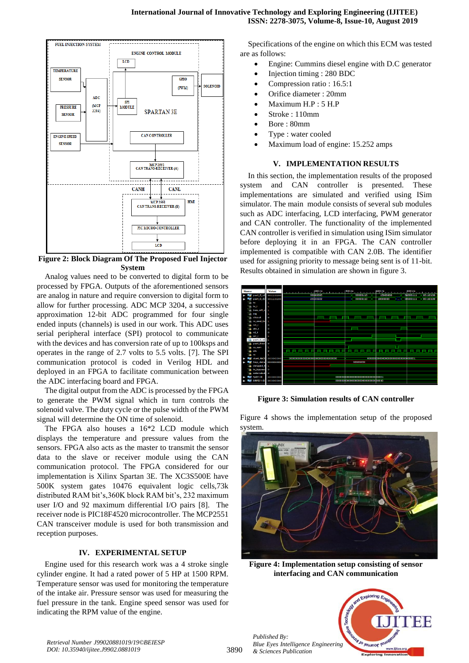

**Figure 2: Block Diagram Of The Proposed Fuel Injector System**

Analog values need to be converted to digital form to be processed by FPGA. Outputs of the aforementioned sensors are analog in nature and require conversion to digital form to allow for further processing. ADC MCP 3204, a successive approximation 12-bit ADC programmed for four single ended inputs (channels) is used in our work. This ADC uses serial peripheral interface (SPI) protocol to communicate with the devices and has conversion rate of up to 100ksps and operates in the range of 2.7 volts to 5.5 volts. [7]. The SPI communication protocol is coded in Verilog HDL and deployed in an FPGA to facilitate communication between the ADC interfacing board and FPGA.

The digital output from the ADC is processed by the FPGA to generate the PWM signal which in turn controls the solenoid valve. The duty cycle or the pulse width of the PWM signal will determine the ON time of solenoid.

The FPGA also houses a 16\*2 LCD module which displays the temperature and pressure values from the sensors. FPGA also acts as the master to transmit the sensor data to the slave or receiver module using the CAN communication protocol. The FPGA considered for our implementation is Xilinx Spartan 3E. The XC3S500E have 500K system gates 10476 equivalent logic cells,73k distributed RAM bit's,360K block RAM bit's, 232 maximum user I/O and 92 maximum differential I/O pairs [8]. The receiver node is PIC18F4520 microcontroller. The MCP2551 CAN transceiver module is used for both transmission and reception purposes.

### **IV. EXPERIMENTAL SETUP**

Engine used for this research work was a 4 stroke single cylinder engine. It had a rated power of 5 HP at 1500 RPM. Temperature sensor was used for monitoring the temperature of the intake air. Pressure sensor was used for measuring the fuel pressure in the tank. Engine speed sensor was used for indicating the RPM value of the engine.

Specifications of the engine on which this ECM was tested are as follows:

- Engine: Cummins diesel engine with D.C generator
- Injection timing : 280 BDC
- Compression ratio : 16.5:1
- Orifice diameter : 20mm
- Maximum H.P : 5 H.P
- Stroke : 110mm
- Bore : 80mm
- Type : water cooled
- Maximum load of engine: 15.252 amps

# **V. IMPLEMENTATION RESULTS**

In this section, the implementation results of the proposed system and CAN controller is presented. These implementations are simulated and verified using ISim simulator. The main module consists of several sub modules such as ADC interfacing, LCD interfacing, PWM generator and CAN controller. The functionality of the implemented CAN controller is verified in simulation using ISim simulator before deploying it in an FPGA. The CAN controller implemented is compatible with CAN 2.0B. The identifier used for assigning priority to message being sent is of 11-bit. Results obtained in simulation are shown in figure 3.



**Figure 3: Simulation results of CAN controller**

Figure 4 shows the implementation setup of the proposed system.



**Figure 4: Implementation setup consisting of sensor interfacing and CAN communication**

Jo Jeumor le

w.iiitee.c

`HH





3890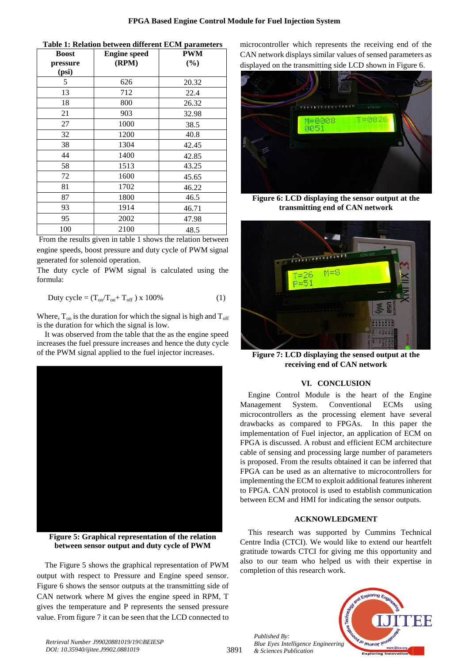| Table 1: Relation between different ECM parameters |  |  |
|----------------------------------------------------|--|--|
|----------------------------------------------------|--|--|

| <b>Boost</b> | <b>Engine speed</b> | <b>PWM</b> |
|--------------|---------------------|------------|
| pressure     | (RPM)               | $(\%)$     |
| (psi)        |                     |            |
| 5            | 626                 | 20.32      |
| 13           | 712                 | 22.4       |
| 18           | 800                 | 26.32      |
| 21           | 903                 | 32.98      |
| 27           | 1000                | 38.5       |
| 32           | 1200                | 40.8       |
| 38           | 1304                | 42.45      |
| 44           | 1400                | 42.85      |
| 58           | 1513                | 43.25      |
| 72           | 1600                | 45.65      |
| 81           | 1702                | 46.22      |
| 87           | 1800                | 46.5       |
| 93           | 1914                | 46.71      |
| 95           | 2002                | 47.98      |
| 100          | 2100                | 48.5       |

From the results given in table 1 shows the relation between engine speeds, boost pressure and duty cycle of PWM signal generated for solenoid operation.

The duty cycle of PWM signal is calculated using the formula:

$$
Duty cycle = (T_{on}/T_{on} + T_{off}) \times 100\% \tag{1}
$$

Where,  $T_{on}$  is the duration for which the signal is high and  $T_{off}$ is the duration for which the signal is low.

It was observed from the table that the as the engine speed increases the fuel pressure increases and hence the duty cycle of the PWM signal applied to the fuel injector increases.



**Figure 5: Graphical representation of the relation between sensor output and duty cycle of PWM**

The Figure 5 shows the graphical representation of PWM output with respect to Pressure and Engine speed sensor. Figure 6 shows the sensor outputs at the transmitting side of CAN network where M gives the engine speed in RPM, T gives the temperature and P represents the sensed pressure value. From figure 7 it can be seen that the LCD connected to microcontroller which represents the receiving end of the CAN network displays similar values of sensed parameters as displayed on the transmitting side LCD shown in Figure 6.



**Figure 6: LCD displaying the sensor output at the transmitting end of CAN network**



**Figure 7: LCD displaying the sensed output at the receiving end of CAN network**

# **VI. CONCLUSION**

Engine Control Module is the heart of the Engine Management System. Conventional ECMs using microcontrollers as the processing element have several drawbacks as compared to FPGAs. In this paper the implementation of Fuel injector, an application of ECM on FPGA is discussed. A robust and efficient ECM architecture cable of sensing and processing large number of parameters is proposed. From the results obtained it can be inferred that FPGA can be used as an alternative to microcontrollers for implementing the ECM to exploit additional features inherent to FPGA. CAN protocol is used to establish communication between ECM and HMI for indicating the sensor outputs.

#### **ACKNOWLEDGMENT**

This research was supported by Cummins Technical Centre India (CTCI). We would like to extend our heartfelt gratitude towards CTCI for giving me this opportunity and also to our team who helped us with their expertise in completion of this research work.



*Published By: Blue Eyes Intelligence Engineering & Sciences Publication*